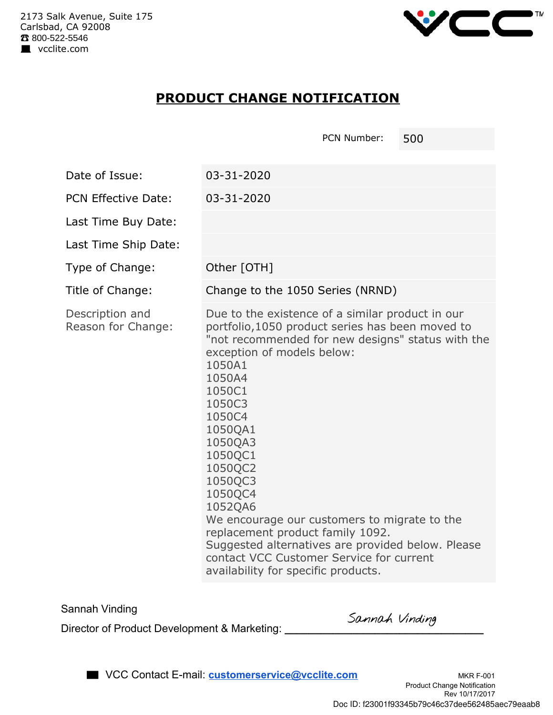

## **PRODUCT CHANGE NOTIFICATION**

|                                       | PCN Number:<br>500                                                                                                                                                                                                                                                                                                                                                                                                                                                                                                                                 |  |  |  |
|---------------------------------------|----------------------------------------------------------------------------------------------------------------------------------------------------------------------------------------------------------------------------------------------------------------------------------------------------------------------------------------------------------------------------------------------------------------------------------------------------------------------------------------------------------------------------------------------------|--|--|--|
| Date of Issue:                        | 03-31-2020                                                                                                                                                                                                                                                                                                                                                                                                                                                                                                                                         |  |  |  |
| <b>PCN Effective Date:</b>            | 03-31-2020                                                                                                                                                                                                                                                                                                                                                                                                                                                                                                                                         |  |  |  |
| Last Time Buy Date:                   |                                                                                                                                                                                                                                                                                                                                                                                                                                                                                                                                                    |  |  |  |
| Last Time Ship Date:                  |                                                                                                                                                                                                                                                                                                                                                                                                                                                                                                                                                    |  |  |  |
| Type of Change:                       | Other [OTH]                                                                                                                                                                                                                                                                                                                                                                                                                                                                                                                                        |  |  |  |
| Title of Change:                      | Change to the 1050 Series (NRND)                                                                                                                                                                                                                                                                                                                                                                                                                                                                                                                   |  |  |  |
| Description and<br>Reason for Change: | Due to the existence of a similar product in our<br>portfolio, 1050 product series has been moved to<br>"not recommended for new designs" status with the<br>exception of models below:<br>1050A1<br>1050A4<br>1050C1<br>1050C3<br>1050C4<br>1050QA1<br>1050QA3<br>1050QC1<br>1050QC2<br>1050QC3<br>1050QC4<br>1052QA6<br>We encourage our customers to migrate to the<br>replacement product family 1092.<br>Suggested alternatives are provided below. Please<br>contact VCC Customer Service for current<br>availability for specific products. |  |  |  |

Sannah Vinding

Director of Product Development & Marketing: **\_\_\_\_\_\_\_\_\_\_\_\_\_\_\_\_\_\_\_\_\_\_\_\_\_\_\_\_\_\_\_\_\_** 

■ VCC Contact E-mail: **customerservice@vcclite.com** MKR F-001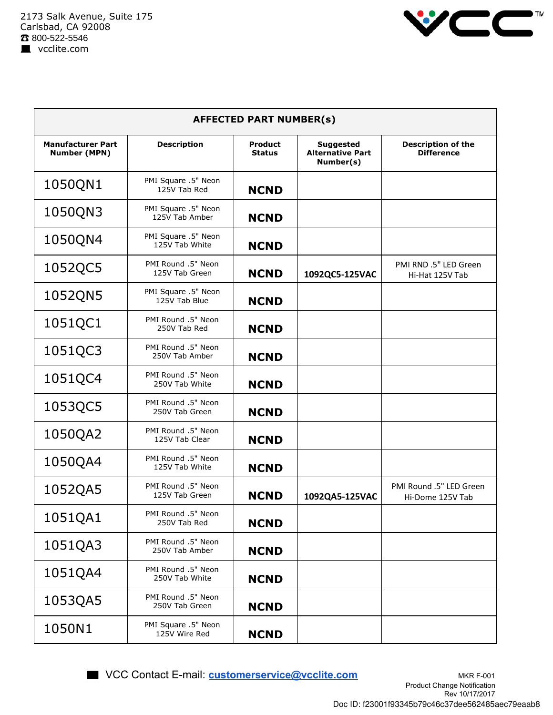

| <b>AFFECTED PART NUMBER(s)</b>                  |                                       |                                 |                                                          |                                                |  |  |  |
|-------------------------------------------------|---------------------------------------|---------------------------------|----------------------------------------------------------|------------------------------------------------|--|--|--|
| <b>Manufacturer Part</b><br><b>Number (MPN)</b> | <b>Description</b>                    | <b>Product</b><br><b>Status</b> | <b>Suggested</b><br><b>Alternative Part</b><br>Number(s) | <b>Description of the</b><br><b>Difference</b> |  |  |  |
| 1050QN1                                         | PMI Square .5" Neon<br>125V Tab Red   | <b>NCND</b>                     |                                                          |                                                |  |  |  |
| 1050QN3                                         | PMI Square .5" Neon<br>125V Tab Amber | <b>NCND</b>                     |                                                          |                                                |  |  |  |
| 1050QN4                                         | PMI Square .5" Neon<br>125V Tab White | <b>NCND</b>                     |                                                          |                                                |  |  |  |
| 1052QC5                                         | PMI Round .5" Neon<br>125V Tab Green  | <b>NCND</b>                     | 1092QC5-125VAC                                           | PMI RND .5" LED Green<br>Hi-Hat 125V Tab       |  |  |  |
| 1052QN5                                         | PMI Square .5" Neon<br>125V Tab Blue  | <b>NCND</b>                     |                                                          |                                                |  |  |  |
| 1051QC1                                         | PMI Round .5" Neon<br>250V Tab Red    | <b>NCND</b>                     |                                                          |                                                |  |  |  |
| 1051QC3                                         | PMI Round .5" Neon<br>250V Tab Amber  | <b>NCND</b>                     |                                                          |                                                |  |  |  |
| 1051QC4                                         | PMI Round .5" Neon<br>250V Tab White  | <b>NCND</b>                     |                                                          |                                                |  |  |  |
| 1053QC5                                         | PMI Round .5" Neon<br>250V Tab Green  | <b>NCND</b>                     |                                                          |                                                |  |  |  |
| 1050QA2                                         | PMI Round .5" Neon<br>125V Tab Clear  | <b>NCND</b>                     |                                                          |                                                |  |  |  |
| 1050QA4                                         | PMI Round .5" Neon<br>125V Tab White  | <b>NCND</b>                     |                                                          |                                                |  |  |  |
| 1052QA5                                         | PMI Round .5" Neon<br>125V Tab Green  | <b>NCND</b>                     | 1092QA5-125VAC                                           | PMI Round .5" LED Green<br>Hi-Dome 125V Tab    |  |  |  |
| 1051QA1                                         | PMI Round .5" Neon<br>250V Tab Red    | <b>NCND</b>                     |                                                          |                                                |  |  |  |
| 1051QA3                                         | PMI Round .5" Neon<br>250V Tab Amber  | <b>NCND</b>                     |                                                          |                                                |  |  |  |
| 1051QA4                                         | PMI Round .5" Neon<br>250V Tab White  | <b>NCND</b>                     |                                                          |                                                |  |  |  |
| 1053QA5                                         | PMI Round .5" Neon<br>250V Tab Green  | <b>NCND</b>                     |                                                          |                                                |  |  |  |
| 1050N1                                          | PMI Square .5" Neon<br>125V Wire Red  | <b>NCND</b>                     |                                                          |                                                |  |  |  |

■ VCC Contact E-mail: **customerservice@vcclite.com** MKR F-001